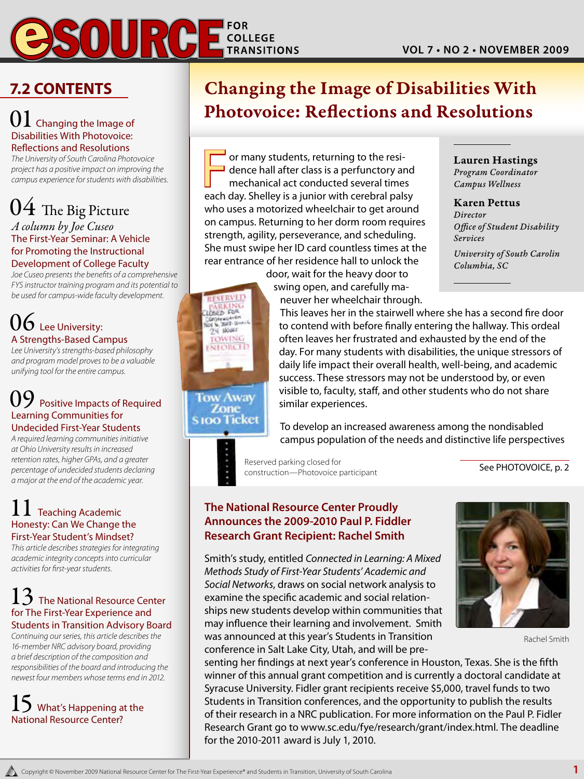# **COLLEGE TRANSITIONS**

### **7.2 Contents**

### $01$  Changing the Image of Disabilities With Photovoice: Reflections and Resolutions

*The University of South Carolina Photovoice project has a positive impact on improving the campus experience for students with disabilities.*

# $04\,$  The Big Picture

### *A column by Joe Cuseo* The First-Year Seminar: A Vehicle for Promoting the Instructional Development of College Faculty

*Joe Cuseo presents the benefits of a comprehensive FYS instructor training program and its potential to be used for campus-wide faculty development.*

### $06$  Lee University: A Strengths-Based Campus

*Lee University's strengths-based philosophy and program model proves to be a valuable unifying tool for the entire campus.*

### Positive Impacts of Required Learning Communities for Undecided First-Year Students

*A required learning communities initiative at Ohio University results in increased retention rates, higher GPAs, and a greater percentage of undecided students declaring a major at the end of the academic year.*

### $\perp$  Teaching Academic Honesty: Can We Change the First-Year Student's Mindset?

*This article describes strategies for integrating academic integrity concepts into curricular activities for first-year students.*

### $13\,$  The National Resource Center for The First-Year Experience and Students in Transition Advisory Board

*Continuing our series, this article describes the 16-member NRC advisory board, providing a brief description of the composition and responsibilities of the board and introducing the newest four members whose terms end in 2012.*

### What's Happening at the National Resource Center?

## Changing the Image of Disabilities With Photovoice: Reflections and Resolutions

F or many students, returning to the residence hall after class is a perfunctory and mechanical act conducted several time dence hall after class is a perfunctory and mechanical act conducted several times each day. Shelley is a junior with cerebral palsy who uses a motorized wheelchair to get around on campus. Returning to her dorm room requires strength, agility, perseverance, and scheduling. She must swipe her ID card countless times at the rear entrance of her residence hall to unlock the door, wait for the heavy door to

Lauren Hastings *Program Coordinator Campus Wellness*

Karen Pettus *Director Office of Student Disability Services University of South Carolin Columbia, SC*



swing open, and carefully maneuver her wheelchair through.

This leaves her in the stairwell where she has a second fire door to contend with before finally entering the hallway. This ordeal often leaves her frustrated and exhausted by the end of the day. For many students with disabilities, the unique stressors of daily life impact their overall health, well-being, and academic success. These stressors may not be understood by, or even visible to, faculty, staff, and other students who do not share similar experiences.

To develop an increased awareness among the nondisabled campus population of the needs and distinctive life perspectives

Reserved parking closed for<br>
See PHOTOVOICE, p. 2 construction—Photovoice participant

### **The National Resource Center Proudly Announces the 2009-2010 Paul P. Fiddler Research Grant Recipient: Rachel Smith**

Smith's study, entitled *Connected in Learning: A Mixed Methods Study of First-Year Students' Academic and Social Networks*, draws on social network analysis to examine the specific academic and social relationships new students develop within communities that may influence their learning and involvement. Smith was announced at this year's Students in Transition conference in Salt Lake City, Utah, and will be pre-



Rachel Smith

senting her findings at next year's conference in Houston, Texas. She is the fifth winner of this annual grant competition and is currently a doctoral candidate at Syracuse University. Fidler grant recipients receive \$5,000, travel funds to two Students in Transition conferences, and the opportunity to publish the results of their research in a NRC publication. For more information on the Paul P. Fidler Research Grant go to www.sc.edu/fye/research/grant/index.html. The deadline for the 2010-2011 award is July 1, 2010.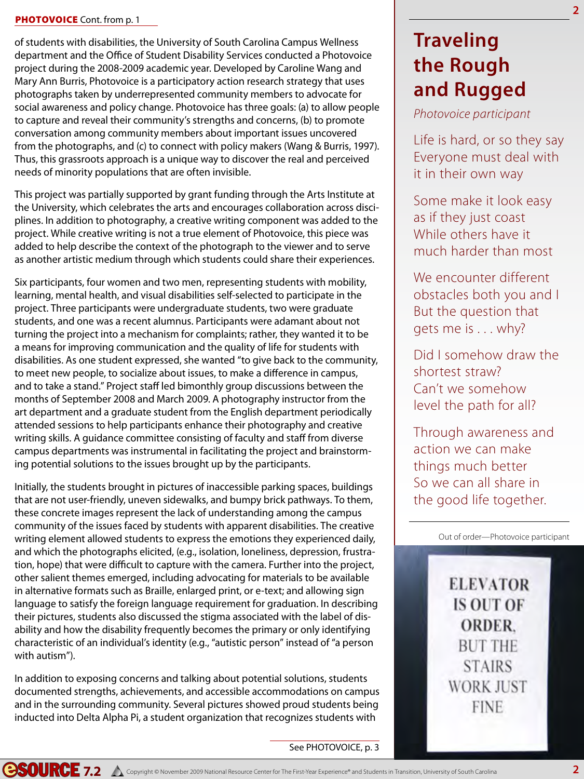### PHOTOVOICE Cont. from p. 1

of students with disabilities, the University of South Carolina Campus Wellness department and the Office of Student Disability Services conducted a Photovoice project during the 2008-2009 academic year. Developed by Caroline Wang and Mary Ann Burris, Photovoice is a participatory action research strategy that uses photographs taken by underrepresented community members to advocate for social awareness and policy change. Photovoice has three goals: (a) to allow people to capture and reveal their community's strengths and concerns, (b) to promote conversation among community members about important issues uncovered from the photographs, and (c) to connect with policy makers (Wang & Burris, 1997). Thus, this grassroots approach is a unique way to discover the real and perceived needs of minority populations that are often invisible.

This project was partially supported by grant funding through the Arts Institute at the University, which celebrates the arts and encourages collaboration across disciplines. In addition to photography, a creative writing component was added to the project. While creative writing is not a true element of Photovoice, this piece was added to help describe the context of the photograph to the viewer and to serve as another artistic medium through which students could share their experiences.

Six participants, four women and two men, representing students with mobility, learning, mental health, and visual disabilities self-selected to participate in the project. Three participants were undergraduate students, two were graduate students, and one was a recent alumnus. Participants were adamant about not turning the project into a mechanism for complaints; rather, they wanted it to be a means for improving communication and the quality of life for students with disabilities. As one student expressed, she wanted "to give back to the community, to meet new people, to socialize about issues, to make a difference in campus, and to take a stand." Project staff led bimonthly group discussions between the months of September 2008 and March 2009. A photography instructor from the art department and a graduate student from the English department periodically attended sessions to help participants enhance their photography and creative writing skills. A guidance committee consisting of faculty and staff from diverse campus departments was instrumental in facilitating the project and brainstorming potential solutions to the issues brought up by the participants.

Initially, the students brought in pictures of inaccessible parking spaces, buildings that are not user-friendly, uneven sidewalks, and bumpy brick pathways. To them, these concrete images represent the lack of understanding among the campus community of the issues faced by students with apparent disabilities. The creative writing element allowed students to express the emotions they experienced daily, and which the photographs elicited, (e.g., isolation, loneliness, depression, frustration, hope) that were difficult to capture with the camera. Further into the project, other salient themes emerged, including advocating for materials to be available in alternative formats such as Braille, enlarged print, or e-text; and allowing sign language to satisfy the foreign language requirement for graduation. In describing their pictures, students also discussed the stigma associated with the label of disability and how the disability frequently becomes the primary or only identifying characteristic of an individual's identity (e.g., "autistic person" instead of "a person with autism").

In addition to exposing concerns and talking about potential solutions, students documented strengths, achievements, and accessible accommodations on campus and in the surrounding community. Several pictures showed proud students being inducted into Delta Alpha Pi, a student organization that recognizes students with

### See PHOTOVOICE, p. 3

### **Traveling the Rough and Rugged**

### *Photovoice participant*

Life is hard, or so they say Everyone must deal with it in their own way

Some make it look easy as if they just coast While others have it much harder than most

We encounter different obstacles both you and I But the question that gets me is . . . why?

Did I somehow draw the shortest straw? Can't we somehow level the path for all?

Through awareness and action we can make things much better So we can all share in the good life together.

Out of order—Photovoice participant

**ELEVATOR IS OUT OF ORDER. BUT THE STAIRS WORK JUST FINE**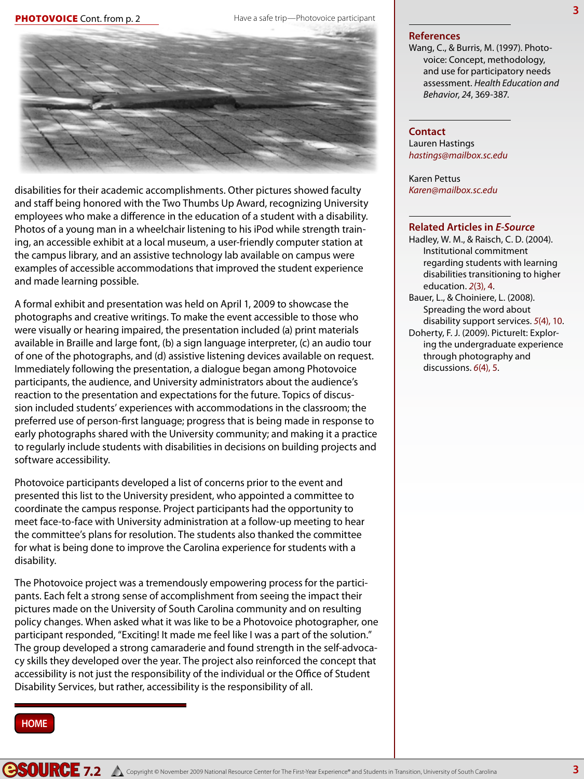#### Have a safe trip—Photovoice participant



disabilities for their academic accomplishments. Other pictures showed faculty and staff being honored with the Two Thumbs Up Award, recognizing University employees who make a difference in the education of a student with a disability. Photos of a young man in a wheelchair listening to his iPod while strength training, an accessible exhibit at a local museum, a user-friendly computer station at the campus library, and an assistive technology lab available on campus were examples of accessible accommodations that improved the student experience and made learning possible.

A formal exhibit and presentation was held on April 1, 2009 to showcase the photographs and creative writings. To make the event accessible to those who were visually or hearing impaired, the presentation included (a) print materials available in Braille and large font, (b) a sign language interpreter, (c) an audio tour of one of the photographs, and (d) assistive listening devices available on request. Immediately following the presentation, a dialogue began among Photovoice participants, the audience, and University administrators about the audience's reaction to the presentation and expectations for the future. Topics of discussion included students' experiences with accommodations in the classroom; the preferred use of person-first language; progress that is being made in response to early photographs shared with the University community; and making it a practice to regularly include students with disabilities in decisions on building projects and software accessibility.

Photovoice participants developed a list of concerns prior to the event and presented this list to the University president, who appointed a committee to coordinate the campus response. Project participants had the opportunity to meet face-to-face with University administration at a follow-up meeting to hear the committee's plans for resolution. The students also thanked the committee for what is being done to improve the Carolina experience for students with a disability.

The Photovoice project was a tremendously empowering process for the participants. Each felt a strong sense of accomplishment from seeing the impact their pictures made on the University of South Carolina community and on resulting policy changes. When asked what it was like to be a Photovoice photographer, one participant responded, "Exciting! It made me feel like I was a part of the solution." The group developed a strong camaraderie and found strength in the self-advocacy skills they developed over the year. The project also reinforced the concept that accessibility is not just the responsibility of the individual or the Office of Student Disability Services, but rather, accessibility is the responsibility of all.

#### **References**

Wang, C., & Burris, M. (1997). Photovoice: Concept, methodology, and use for participatory needs assessment. *Health Education and Behavior*, *24*, 369-387.

#### **Contact**

Lauren Hastings *hastings@mailbox.sc.edu*

Karen Pettus *Karen@mailbox.sc.edu*

#### **Related Articles in** *E-Source*

Hadley, W. M., & Raisch, C. D. (2004). Institutional commitment regarding students with learning disabilities transitioning to higher education. *2*(3), 4.

Bauer, L., & Choiniere, L. (2008). Spreading the word about disability support services. *5*(4), 10. Doherty, F. J. (2009). PictureIt: Exploring the undergraduate experience

through photography and discussions. *6*(4), 5.

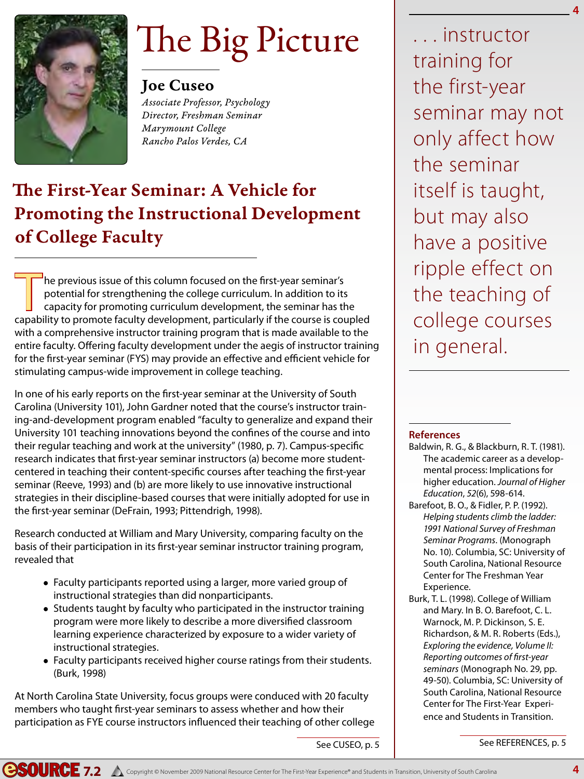

# The Big Picture

### Joe Cuseo

*Associate Professor, Psychology Director, Freshman Seminar Marymount College Rancho Palos Verdes, CA*

### The First-Year Seminar: A Vehicle for Promoting the Instructional Development of College Faculty

The previous issue of this column focused on the first-year seminar's<br>potential for strengthening the college curriculum. In addition to its<br>capability to promote faculty development particularly if the course is conpotential for strengthening the college curriculum. In addition to its capacity for promoting curriculum development, the seminar has the capability to promote faculty development, particularly if the course is coupled with a comprehensive instructor training program that is made available to the entire faculty. Offering faculty development under the aegis of instructor training for the first-year seminar (FYS) may provide an effective and efficient vehicle for stimulating campus-wide improvement in college teaching.

In one of his early reports on the first-year seminar at the University of South Carolina (University 101), John Gardner noted that the course's instructor training-and-development program enabled "faculty to generalize and expand their University 101 teaching innovations beyond the confines of the course and into their regular teaching and work at the university" (1980, p. 7). Campus-specific research indicates that first-year seminar instructors (a) become more studentcentered in teaching their content-specific courses after teaching the first-year seminar (Reeve, 1993) and (b) are more likely to use innovative instructional strategies in their discipline-based courses that were initially adopted for use in the first-year seminar (DeFrain, 1993; Pittendrigh, 1998).

Research conducted at William and Mary University, comparing faculty on the basis of their participation in its first-year seminar instructor training program, revealed that

- Faculty participants reported using a larger, more varied group of instructional strategies than did nonparticipants.
- Students taught by faculty who participated in the instructor training program were more likely to describe a more diversified classroom learning experience characterized by exposure to a wider variety of instructional strategies.
- Faculty participants received higher course ratings from their students. (Burk, 1998)

At North Carolina State University, focus groups were conduced with 20 faculty members who taught first-year seminars to assess whether and how their participation as FYE course instructors influenced their teaching of other college

. . . instructor training for the first-year seminar may not only affect how the seminar itself is taught, but may also have a positive ripple effect on the teaching of college courses in general.

**4**

### **References**

- Baldwin, R. G., & Blackburn, R. T. (1981). The academic career as a developmental process: Implications for higher education. *Journal of Higher Education*, *52*(6), 598-614.
- Barefoot, B. O., & Fidler, P. P. (1992). *Helping students climb the ladder: 1991 National Survey of Freshman Seminar Programs*. (Monograph No. 10). Columbia, SC: University of South Carolina, National Resource Center for The Freshman Year Experience.
- Burk, T. L. (1998). College of William and Mary. In B. O. Barefoot, C. L. Warnock, M. P. Dickinson, S. E. Richardson, & M. R. Roberts (Eds.), *Exploring the evidence, Volume II: Reporting outcomes of first-year seminars* (Monograph No. 29, pp. 49-50). Columbia, SC: University of South Carolina, National Resource Center for The First-Year Experience and Students in Transition.

See REFERENCES, p. 5

See CUSEO, p. 5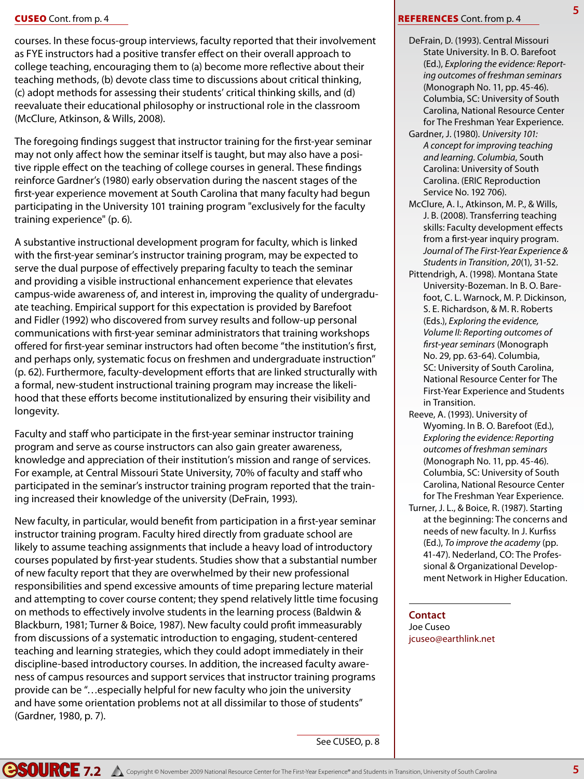### Cuseo Cont. from p. 4

courses. In these focus-group interviews, faculty reported that their involvement as FYE instructors had a positive transfer effect on their overall approach to college teaching, encouraging them to (a) become more reflective about their teaching methods, (b) devote class time to discussions about critical thinking, (c) adopt methods for assessing their students' critical thinking skills, and (d) reevaluate their educational philosophy or instructional role in the classroom (McClure, Atkinson, & Wills, 2008).

The foregoing findings suggest that instructor training for the first-year seminar may not only affect how the seminar itself is taught, but may also have a positive ripple effect on the teaching of college courses in general. These findings reinforce Gardner's (1980) early observation during the nascent stages of the first-year experience movement at South Carolina that many faculty had begun participating in the University 101 training program "exclusively for the faculty training experience" (p. 6).

A substantive instructional development program for faculty, which is linked with the first-year seminar's instructor training program, may be expected to serve the dual purpose of effectively preparing faculty to teach the seminar and providing a visible instructional enhancement experience that elevates campus-wide awareness of, and interest in, improving the quality of undergraduate teaching. Empirical support for this expectation is provided by Barefoot and Fidler (1992) who discovered from survey results and follow-up personal communications with first-year seminar administrators that training workshops offered for first-year seminar instructors had often become "the institution's first, and perhaps only, systematic focus on freshmen and undergraduate instruction" (p. 62). Furthermore, faculty-development efforts that are linked structurally with a formal, new-student instructional training program may increase the likelihood that these efforts become institutionalized by ensuring their visibility and longevity.

Faculty and staff who participate in the first-year seminar instructor training program and serve as course instructors can also gain greater awareness, knowledge and appreciation of their institution's mission and range of services. For example, at Central Missouri State University, 70% of faculty and staff who participated in the seminar's instructor training program reported that the training increased their knowledge of the university (DeFrain, 1993).

New faculty, in particular, would benefit from participation in a first-year seminar instructor training program. Faculty hired directly from graduate school are likely to assume teaching assignments that include a heavy load of introductory courses populated by first-year students. Studies show that a substantial number of new faculty report that they are overwhelmed by their new professional responsibilities and spend excessive amounts of time preparing lecture material and attempting to cover course content; they spend relatively little time focusing on methods to effectively involve students in the learning process (Baldwin & Blackburn, 1981; Turner & Boice, 1987). New faculty could profit immeasurably from discussions of a systematic introduction to engaging, student-centered teaching and learning strategies, which they could adopt immediately in their discipline-based introductory courses. In addition, the increased faculty awareness of campus resources and support services that instructor training programs provide can be "…especially helpful for new faculty who join the university and have some orientation problems not at all dissimilar to those of students" (Gardner, 1980, p. 7).

#### See CUSEO, p. 8

#### **REFERENCES** Cont. from p. 4

DeFrain, D. (1993). Central Missouri State University. In B. O. Barefoot (Ed.), *Exploring the evidence: Reporting outcomes of freshman seminars* (Monograph No. 11, pp. 45-46). Columbia, SC: University of South Carolina, National Resource Center for The Freshman Year Experience.

**5**

- Gardner, J. (1980). *University 101: A concept for improving teaching and learning. Columbia*, South Carolina: University of South Carolina. (ERIC Reproduction Service No. 192 706).
- McClure, A. I., Atkinson, M. P., & Wills, J. B. (2008). Transferring teaching skills: Faculty development effects from a first-year inquiry program. *Journal of The First-Year Experience & Students in Transition*, *20*(1), 31-52.
- Pittendrigh, A. (1998). Montana State University-Bozeman. In B. O. Barefoot, C. L. Warnock, M. P. Dickinson, S. E. Richardson, & M. R. Roberts (Eds.), *Exploring the evidence, Volume II: Reporting outcomes of first-year seminars* (Monograph No. 29, pp. 63-64). Columbia, SC: University of South Carolina, National Resource Center for The First-Year Experience and Students in Transition.
- Reeve, A. (1993). University of Wyoming. In B. O. Barefoot (Ed.), *Exploring the evidence: Reporting outcomes of freshman seminars*  (Monograph No. 11, pp. 45-46). Columbia, SC: University of South Carolina, National Resource Center for The Freshman Year Experience.
- Turner, J. L., & Boice, R. (1987). Starting at the beginning: The concerns and needs of new faculty. In J. Kurfiss (Ed.), *To improve the academy* (pp. 41-47). Nederland, CO: The Professional & Organizational Development Network in Higher Education.

**Contact** Joe Cuseo jcuseo@earthlink.net

**7.2** A Copyright © November 2009 National Resource Center for The First-Year Experience® and Students in Transition, University of South Carolina **5**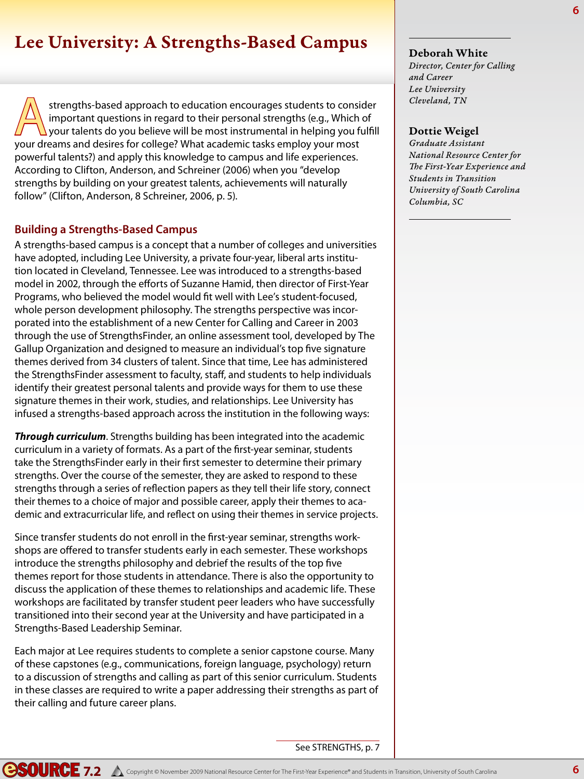### Lee University: A Strengths-Based Campus

Strengths-based approach to education encourages students to consider<br>important questions in regard to their personal strengths (e.g., Which of<br>your dreams and desires for college? What academic tasks employ your most important questions in regard to their personal strengths (e.g., Which of your talents do you believe will be most instrumental in helping you fulfill your dreams and desires for college? What academic tasks employ your most powerful talents?) and apply this knowledge to campus and life experiences. According to Clifton, Anderson, and Schreiner (2006) when you "develop strengths by building on your greatest talents, achievements will naturally follow" (Clifton, Anderson, 8 Schreiner, 2006, p. 5).

### **Building a Strengths-Based Campus**

A strengths-based campus is a concept that a number of colleges and universities have adopted, including Lee University, a private four-year, liberal arts institution located in Cleveland, Tennessee. Lee was introduced to a strengths-based model in 2002, through the efforts of Suzanne Hamid, then director of First-Year Programs, who believed the model would fit well with Lee's student-focused, whole person development philosophy. The strengths perspective was incorporated into the establishment of a new Center for Calling and Career in 2003 through the use of StrengthsFinder, an online assessment tool, developed by The Gallup Organization and designed to measure an individual's top five signature themes derived from 34 clusters of talent. Since that time, Lee has administered the StrengthsFinder assessment to faculty, staff, and students to help individuals identify their greatest personal talents and provide ways for them to use these signature themes in their work, studies, and relationships. Lee University has infused a strengths-based approach across the institution in the following ways:

*Through curriculum*. Strengths building has been integrated into the academic curriculum in a variety of formats. As a part of the first-year seminar, students take the StrengthsFinder early in their first semester to determine their primary strengths. Over the course of the semester, they are asked to respond to these strengths through a series of reflection papers as they tell their life story, connect their themes to a choice of major and possible career, apply their themes to academic and extracurricular life, and reflect on using their themes in service projects.

Since transfer students do not enroll in the first-year seminar, strengths workshops are offered to transfer students early in each semester. These workshops introduce the strengths philosophy and debrief the results of the top five themes report for those students in attendance. There is also the opportunity to discuss the application of these themes to relationships and academic life. These workshops are facilitated by transfer student peer leaders who have successfully transitioned into their second year at the University and have participated in a Strengths-Based Leadership Seminar.

Each major at Lee requires students to complete a senior capstone course. Many of these capstones (e.g., communications, foreign language, psychology) return to a discussion of strengths and calling as part of this senior curriculum. Students in these classes are required to write a paper addressing their strengths as part of their calling and future career plans.

### See STRENGTHS, p. 7

**6**

### Deborah White

*Director, Center for Calling and Career Lee University Cleveland, TN*

### Dottie Weigel

*Graduate Assistant National Resource Center for The First-Year Experience and Students in Transition University of South Carolina Columbia, SC*

**COURCE 7.2** A Copyright © November 2009 National Resource Center for The First-Year Experience® and Students in Transition, University of South Carolina **6**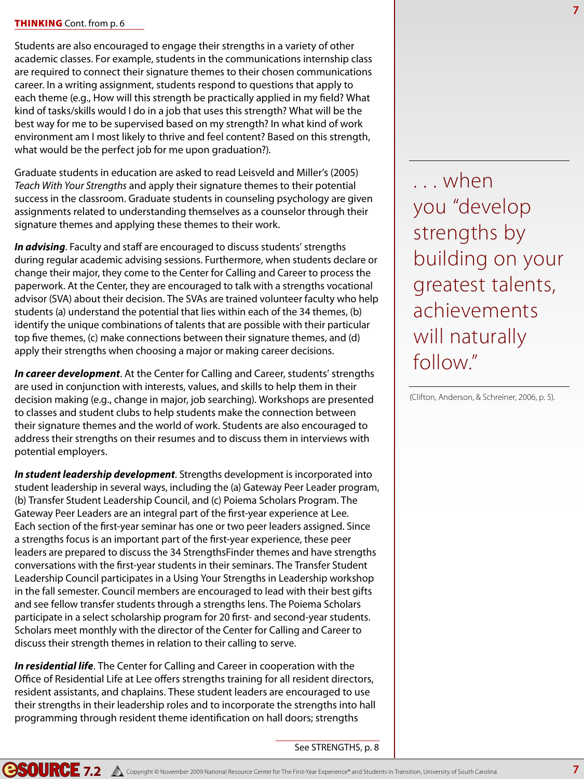### **THINKING** Cont. from p. 6

Students are also encouraged to engage their strengths in a variety of other academic classes. For example, students in the communications internship class are required to connect their signature themes to their chosen communications career. In a writing assignment, students respond to questions that apply to each theme (e.g., How will this strength be practically applied in my field? What kind of tasks/skills would I do in a job that uses this strength? What will be the best way for me to be supervised based on my strength? In what kind of work environment am I most likely to thrive and feel content? Based on this strength, what would be the perfect job for me upon graduation?).

Graduate students in education are asked to read Leisveld and Miller's (2005) *Teach With Your Strengths* and apply their signature themes to their potential success in the classroom. Graduate students in counseling psychology are given assignments related to understanding themselves as a counselor through their signature themes and applying these themes to their work.

*In advising*. Faculty and staff are encouraged to discuss students' strengths during regular academic advising sessions. Furthermore, when students declare or change their major, they come to the Center for Calling and Career to process the paperwork. At the Center, they are encouraged to talk with a strengths vocational advisor (SVA) about their decision. The SVAs are trained volunteer faculty who help students (a) understand the potential that lies within each of the 34 themes, (b) identify the unique combinations of talents that are possible with their particular top five themes, (c) make connections between their signature themes, and (d) apply their strengths when choosing a major or making career decisions.

*In career development*. At the Center for Calling and Career, students' strengths are used in conjunction with interests, values, and skills to help them in their decision making (e.g., change in major, job searching). Workshops are presented to classes and student clubs to help students make the connection between their signature themes and the world of work. Students are also encouraged to address their strengths on their resumes and to discuss them in interviews with potential employers.

*In student leadership development*. Strengths development is incorporated into student leadership in several ways, including the (a) Gateway Peer Leader program, (b) Transfer Student Leadership Council, and (c) Poiema Scholars Program. The Gateway Peer Leaders are an integral part of the first-year experience at Lee. Each section of the first-year seminar has one or two peer leaders assigned. Since a strengths focus is an important part of the first-year experience, these peer leaders are prepared to discuss the 34 StrengthsFinder themes and have strengths conversations with the first-year students in their seminars. The Transfer Student Leadership Council participates in a Using Your Strengths in Leadership workshop in the fall semester. Council members are encouraged to lead with their best gifts and see fellow transfer students through a strengths lens. The Poiema Scholars participate in a select scholarship program for 20 first- and second-year students. Scholars meet monthly with the director of the Center for Calling and Career to discuss their strength themes in relation to their calling to serve.

*In residential life*. The Center for Calling and Career in cooperation with the Office of Residential Life at Lee offers strengths training for all resident directors, resident assistants, and chaplains. These student leaders are encouraged to use their strengths in their leadership roles and to incorporate the strengths into hall programming through resident theme identification on hall doors; strengths

See STRENGTHS, p. 8

. . . when you "develop strengths by building on your greatest talents, achievements will naturally follow."

(Clifton, Anderson, & Schreiner, 2006, p. 5).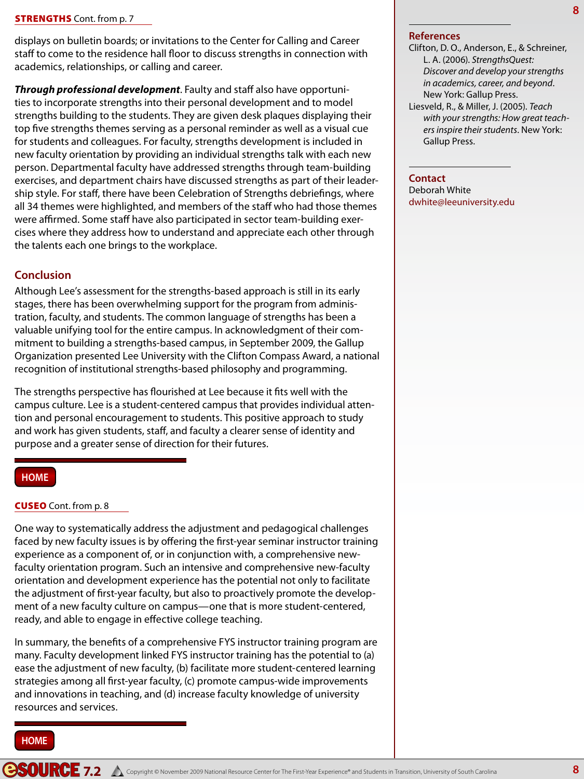displays on bulletin boards; or invitations to the Center for Calling and Career staff to come to the residence hall floor to discuss strengths in connection with academics, relationships, or calling and career.

*Through professional development*. Faulty and staff also have opportunities to incorporate strengths into their personal development and to model strengths building to the students. They are given desk plaques displaying their top five strengths themes serving as a personal reminder as well as a visual cue for students and colleagues. For faculty, strengths development is included in new faculty orientation by providing an individual strengths talk with each new person. Departmental faculty have addressed strengths through team-building exercises, and department chairs have discussed strengths as part of their leadership style. For staff, there have been Celebration of Strengths debriefings, where all 34 themes were highlighted, and members of the staff who had those themes were affirmed. Some staff have also participated in sector team-building exercises where they address how to understand and appreciate each other through the talents each one brings to the workplace.

### **Conclusion**

Although Lee's assessment for the strengths-based approach is still in its early stages, there has been overwhelming support for the program from administration, faculty, and students. The common language of strengths has been a valuable unifying tool for the entire campus. In acknowledgment of their commitment to building a strengths-based campus, in September 2009, the Gallup Organization presented Lee University with the Clifton Compass Award, a national recognition of institutional strengths-based philosophy and programming.

The strengths perspective has flourished at Lee because it fits well with the campus culture. Lee is a student-centered campus that provides individual attention and personal encouragement to students. This positive approach to study and work has given students, staff, and faculty a clearer sense of identity and purpose and a greater sense of direction for their futures.

### **HOME**

### **CUSEO** Cont. from p. 8

One way to systematically address the adjustment and pedagogical challenges faced by new faculty issues is by offering the first-year seminar instructor training experience as a component of, or in conjunction with, a comprehensive newfaculty orientation program. Such an intensive and comprehensive new-faculty orientation and development experience has the potential not only to facilitate the adjustment of first-year faculty, but also to proactively promote the development of a new faculty culture on campus—one that is more student-centered, ready, and able to engage in effective college teaching.

In summary, the benefits of a comprehensive FYS instructor training program are many. Faculty development linked FYS instructor training has the potential to (a) ease the adjustment of new faculty, (b) facilitate more student-centered learning strategies among all first-year faculty, (c) promote campus-wide improvements and innovations in teaching, and (d) increase faculty knowledge of university resources and services.

### **HOME**

#### **References**

- Clifton, D. O., Anderson, E., & Schreiner, L. A. (2006). *StrengthsQuest: Discover and develop your strengths in academics, career, and beyond*. New York: Gallup Press. Liesveld, R., & Miller, J. (2005). *Teach*
- *with your strengths: How great teachers inspire their students*. New York: Gallup Press.

#### **Contact**

Deborah White dwhite@leeuniversity.edu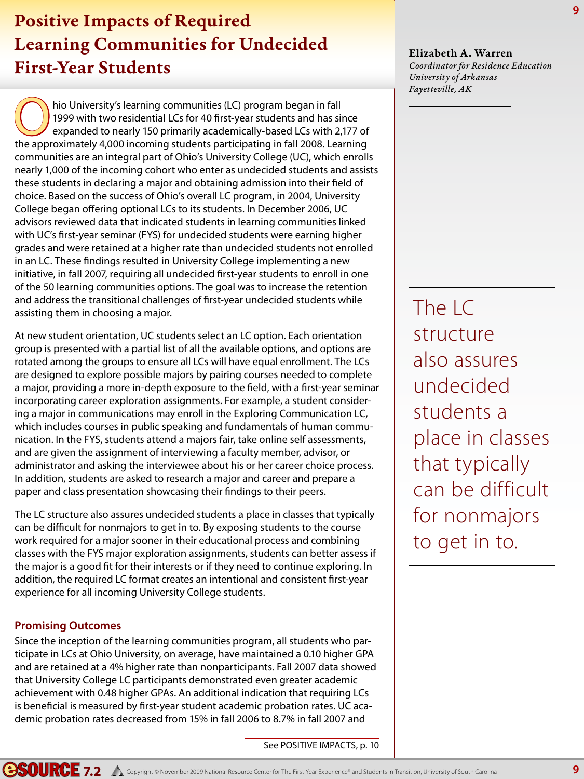### Positive Impacts of Required Learning Communities for Undecided First-Year Students

Thio University's learning communities (LC) program began in fall<br>1999 with two residential LCs for 40 first-year students and has sin<br>expanded to nearly 150 primarily academically-based LCs with 2,<br>the approximately 4,000 1999 with two residential LCs for 40 first-year students and has since expanded to nearly 150 primarily academically-based LCs with 2,177 of the approximately 4,000 incoming students participating in fall 2008. Learning communities are an integral part of Ohio's University College (UC), which enrolls nearly 1,000 of the incoming cohort who enter as undecided students and assists these students in declaring a major and obtaining admission into their field of choice. Based on the success of Ohio's overall LC program, in 2004, University College began offering optional LCs to its students. In December 2006, UC advisors reviewed data that indicated students in learning communities linked with UC's first-year seminar (FYS) for undecided students were earning higher grades and were retained at a higher rate than undecided students not enrolled in an LC. These findings resulted in University College implementing a new initiative, in fall 2007, requiring all undecided first-year students to enroll in one of the 50 learning communities options. The goal was to increase the retention and address the transitional challenges of first-year undecided students while assisting them in choosing a major.

At new student orientation, UC students select an LC option. Each orientation group is presented with a partial list of all the available options, and options are rotated among the groups to ensure all LCs will have equal enrollment. The LCs are designed to explore possible majors by pairing courses needed to complete a major, providing a more in-depth exposure to the field, with a first-year seminar incorporating career exploration assignments. For example, a student considering a major in communications may enroll in the Exploring Communication LC, which includes courses in public speaking and fundamentals of human communication. In the FYS, students attend a majors fair, take online self assessments, and are given the assignment of interviewing a faculty member, advisor, or administrator and asking the interviewee about his or her career choice process. In addition, students are asked to research a major and career and prepare a paper and class presentation showcasing their findings to their peers.

The LC structure also assures undecided students a place in classes that typically can be difficult for nonmajors to get in to. By exposing students to the course work required for a major sooner in their educational process and combining classes with the FYS major exploration assignments, students can better assess if the major is a good fit for their interests or if they need to continue exploring. In addition, the required LC format creates an intentional and consistent first-year experience for all incoming University College students.

### **Promising Outcomes**

Since the inception of the learning communities program, all students who participate in LCs at Ohio University, on average, have maintained a 0.10 higher GPA and are retained at a 4% higher rate than nonparticipants. Fall 2007 data showed that University College LC participants demonstrated even greater academic achievement with 0.48 higher GPAs. An additional indication that requiring LCs is beneficial is measured by first-year student academic probation rates. UC academic probation rates decreased from 15% in fall 2006 to 8.7% in fall 2007 and

Elizabeth A. Warren *Coordinator for Residence Education University of Arkansas Fayetteville, AK*

The LC structure also assures undecided students a place in classes that typically can be difficult for nonmajors to get in to.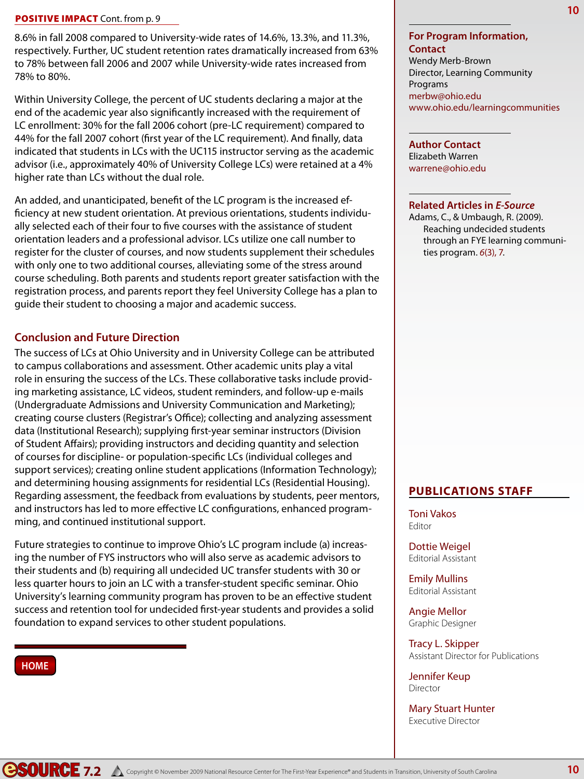### POSITIVE IMPACT Cont. from p. 9

8.6% in fall 2008 compared to University-wide rates of 14.6%, 13.3%, and 11.3%, respectively. Further, UC student retention rates dramatically increased from 63% to 78% between fall 2006 and 2007 while University-wide rates increased from 78% to 80%.

Within University College, the percent of UC students declaring a major at the end of the academic year also significantly increased with the requirement of LC enrollment: 30% for the fall 2006 cohort (pre-LC requirement) compared to 44% for the fall 2007 cohort (first year of the LC requirement). And finally, data indicated that students in LCs with the UC115 instructor serving as the academic advisor (i.e., approximately 40% of University College LCs) were retained at a 4% higher rate than LCs without the dual role.

An added, and unanticipated, benefit of the LC program is the increased efficiency at new student orientation. At previous orientations, students individually selected each of their four to five courses with the assistance of student orientation leaders and a professional advisor. LCs utilize one call number to register for the cluster of courses, and now students supplement their schedules with only one to two additional courses, alleviating some of the stress around course scheduling. Both parents and students report greater satisfaction with the registration process, and parents report they feel University College has a plan to guide their student to choosing a major and academic success.

### **Conclusion and Future Direction**

The success of LCs at Ohio University and in University College can be attributed to campus collaborations and assessment. Other academic units play a vital role in ensuring the success of the LCs. These collaborative tasks include providing marketing assistance, LC videos, student reminders, and follow-up e-mails (Undergraduate Admissions and University Communication and Marketing); creating course clusters (Registrar's Office); collecting and analyzing assessment data (Institutional Research); supplying first-year seminar instructors (Division of Student Affairs); providing instructors and deciding quantity and selection of courses for discipline- or population-specific LCs (individual colleges and support services); creating online student applications (Information Technology); and determining housing assignments for residential LCs (Residential Housing). Regarding assessment, the feedback from evaluations by students, peer mentors, and instructors has led to more effective LC configurations, enhanced programming, and continued institutional support.

Future strategies to continue to improve Ohio's LC program include (a) increasing the number of FYS instructors who will also serve as academic advisors to their students and (b) requiring all undecided UC transfer students with 30 or less quarter hours to join an LC with a transfer-student specific seminar. Ohio University's learning community program has proven to be an effective student success and retention tool for undecided first-year students and provides a solid foundation to expand services to other student populations.

### **HOME**

### **For Program Information, Contact**

Wendy Merb-Brown Director, Learning Community Programs merbw@ohio.edu www.ohio.edu/learningcommunities

**Author Contact** Elizabeth Warren warrene@ohio.edu

### **Related Articles in** *E-Source*

Adams, C., & Umbaugh, R. (2009). Reaching undecided students through an FYE learning communities program. *6*(3), 7.

### **Publications Staff**

Toni Vakos Editor

Dottie Weigel Editorial Assistant

Emily Mullins Editorial Assistant

Angie Mellor Graphic Designer

Tracy L. Skipper Assistant Director for Publications

Jennifer Keup Director

Mary Stuart Hunter Executive Director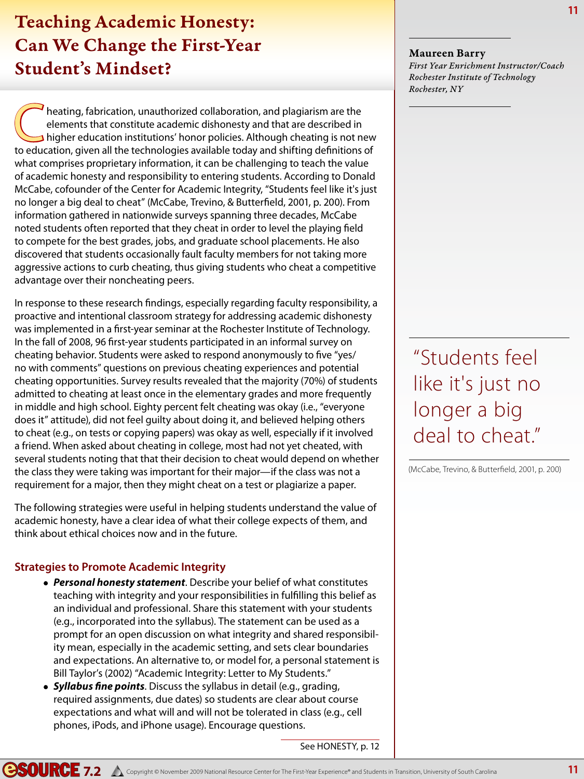### Teaching Academic Honesty: Can We Change the First-Year Student's Mindset?

**Configurers:** Theating, fabrication, unauthorized collaboration, and plagiarism are the elements that constitute academic dishonesty and that are described in higher education institutions' honor policies. Although cheati elements that constitute academic dishonesty and that are described in higher education institutions' honor policies. Although cheating is not new to education, given all the technologies available today and shifting definitions of what comprises proprietary information, it can be challenging to teach the value of academic honesty and responsibility to entering students. According to Donald McCabe, cofounder of the Center for Academic Integrity, "Students feel like it's just no longer a big deal to cheat" (McCabe, Trevino, & Butterfield, 2001, p. 200). From information gathered in nationwide surveys spanning three decades, McCabe noted students often reported that they cheat in order to level the playing field to compete for the best grades, jobs, and graduate school placements. He also discovered that students occasionally fault faculty members for not taking more aggressive actions to curb cheating, thus giving students who cheat a competitive advantage over their noncheating peers.

In response to these research findings, especially regarding faculty responsibility, a proactive and intentional classroom strategy for addressing academic dishonesty was implemented in a first-year seminar at the Rochester Institute of Technology. In the fall of 2008, 96 first-year students participated in an informal survey on cheating behavior. Students were asked to respond anonymously to five "yes/ no with comments" questions on previous cheating experiences and potential cheating opportunities. Survey results revealed that the majority (70%) of students admitted to cheating at least once in the elementary grades and more frequently in middle and high school. Eighty percent felt cheating was okay (i.e., "everyone does it" attitude), did not feel guilty about doing it, and believed helping others to cheat (e.g., on tests or copying papers) was okay as well, especially if it involved a friend. When asked about cheating in college, most had not yet cheated, with several students noting that that their decision to cheat would depend on whether the class they were taking was important for their major—if the class was not a requirement for a major, then they might cheat on a test or plagiarize a paper.

The following strategies were useful in helping students understand the value of academic honesty, have a clear idea of what their college expects of them, and think about ethical choices now and in the future.

### **Strategies to Promote Academic Integrity**

- *Personal honesty statement*. Describe your belief of what constitutes teaching with integrity and your responsibilities in fulfilling this belief as an individual and professional. Share this statement with your students (e.g., incorporated into the syllabus). The statement can be used as a prompt for an open discussion on what integrity and shared responsibility mean, especially in the academic setting, and sets clear boundaries and expectations. An alternative to, or model for, a personal statement is Bill Taylor's (2002) "Academic Integrity: Letter to My Students."
- *Syllabus fine points*. Discuss the syllabus in detail (e.g., grading, required assignments, due dates) so students are clear about course expectations and what will and will not be tolerated in class (e.g., cell phones, iPods, and iPhone usage). Encourage questions.

See HONESTY, p. 12

Maureen Barry *First Year Enrichment Instructor/Coach Rochester Institute of Technology Rochester, NY*

"Students feel like it's just no longer a big deal to cheat."

(McCabe, Trevino, & Butterfield, 2001, p. 200)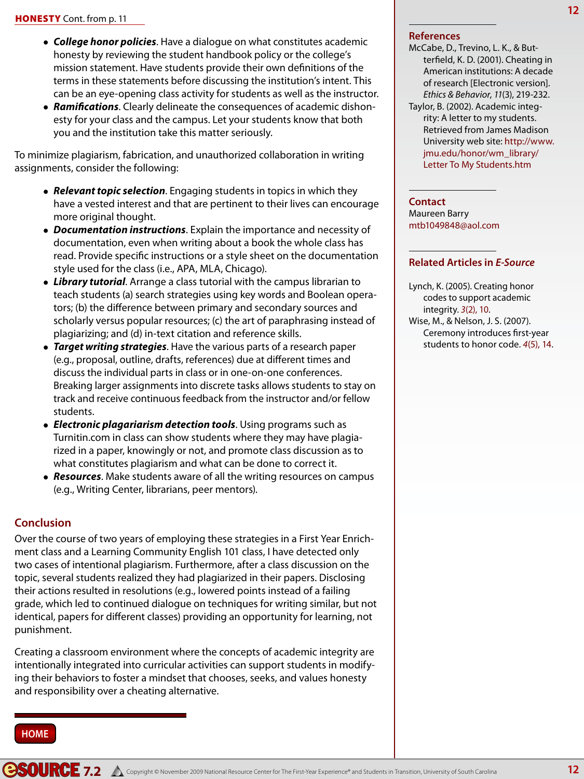- *College honor policies*. Have a dialogue on what constitutes academic honesty by reviewing the student handbook policy or the college's mission statement. Have students provide their own definitions of the terms in these statements before discussing the institution's intent. This can be an eye-opening class activity for students as well as the instructor.
- *Ramifications*. Clearly delineate the consequences of academic dishonesty for your class and the campus. Let your students know that both you and the institution take this matter seriously.

To minimize plagiarism, fabrication, and unauthorized collaboration in writing assignments, consider the following:

- *Relevant topic selection*. Engaging students in topics in which they have a vested interest and that are pertinent to their lives can encourage more original thought.
- *Documentation instructions*. Explain the importance and necessity of documentation, even when writing about a book the whole class has read. Provide specific instructions or a style sheet on the documentation style used for the class (i.e., APA, MLA, Chicago).
- *Library tutorial*. Arrange a class tutorial with the campus librarian to teach students (a) search strategies using key words and Boolean operators; (b) the difference between primary and secondary sources and scholarly versus popular resources; (c) the art of paraphrasing instead of plagiarizing; and (d) in-text citation and reference skills.
- *Target writing strategies*. Have the various parts of a research paper (e.g., proposal, outline, drafts, references) due at different times and discuss the individual parts in class or in one-on-one conferences. Breaking larger assignments into discrete tasks allows students to stay on track and receive continuous feedback from the instructor and/or fellow students.
- *Electronic plagariarism detection tools*. Using programs such as Turnitin.com in class can show students where they may have plagiarized in a paper, knowingly or not, and promote class discussion as to what constitutes plagiarism and what can be done to correct it.
- *Resources*. Make students aware of all the writing resources on campus (e.g., Writing Center, librarians, peer mentors).

### **Conclusion**

Over the course of two years of employing these strategies in a First Year Enrichment class and a Learning Community English 101 class, I have detected only two cases of intentional plagiarism. Furthermore, after a class discussion on the topic, several students realized they had plagiarized in their papers. Disclosing their actions resulted in resolutions (e.g., lowered points instead of a failing grade, which led to continued dialogue on techniques for writing similar, but not identical, papers for different classes) providing an opportunity for learning, not punishment.

Creating a classroom environment where the concepts of academic integrity are intentionally integrated into curricular activities can support students in modifying their behaviors to foster a mindset that chooses, seeks, and values honesty and responsibility over a cheating alternative.

#### **References**

McCabe, D., Trevino, L. K., & Butterfield, K. D. (2001). Cheating in American institutions: A decade of research [Electronic version]. *Ethics & Behavior*, *11*(3), 219-232. Taylor, B. (2002). Academic integrity: A letter to my students. Retrieved from James Madison University web site: http://www. jmu.edu/honor/wm\_library/ Letter To My Students.htm

#### **Contact**

Maureen Barry mtb1049848@aol.com

### **Related Articles in** *E-Source*

- Lynch, K. (2005). Creating honor codes to support academic integrity. *3*(2), 10.
- Wise, M., & Nelson, J. S. (2007). Ceremony introduces first-year students to honor code. *4*(5), 14.

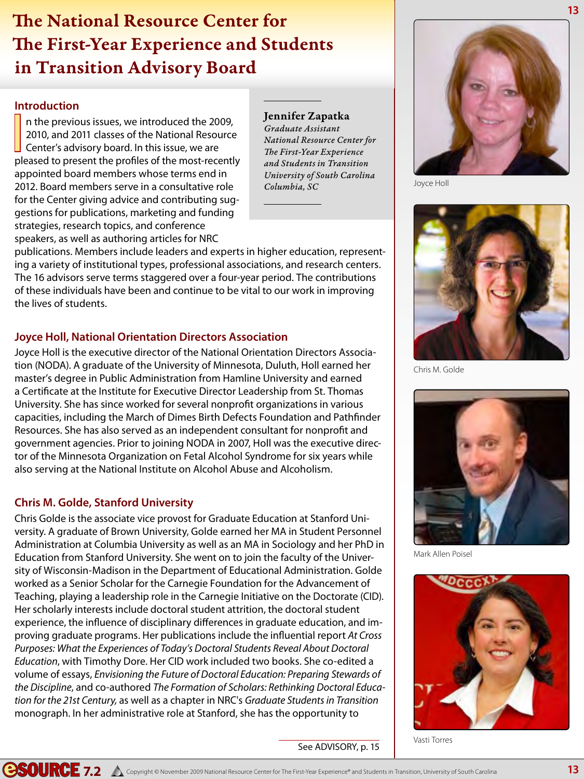### The National Resource Center for **13** The First-Year Experience and Students in Transition Advisory Board

### **Introduction**

 $\prod_{n=1}^{\infty}$ n the previous issues, we introduced the 2009, 2010, and 2011 classes of the National Resource Center's advisory board. In this issue, we are pleased to present the profiles of the most-recently appointed board members whose terms end in 2012. Board members serve in a consultative role for the Center giving advice and contributing suggestions for publications, marketing and funding strategies, research topics, and conference speakers, as well as authoring articles for NRC

### Jennifer Zapatka

*Graduate Assistant National Resource Center for The First-Year Experience and Students in Transition University of South Carolina Columbia, SC*

publications. Members include leaders and experts in higher education, representing a variety of institutional types, professional associations, and research centers. The 16 advisors serve terms staggered over a four-year period. The contributions of these individuals have been and continue to be vital to our work in improving the lives of students.

### **Joyce Holl, National Orientation Directors Association**

Joyce Holl is the executive director of the National Orientation Directors Association (NODA). A graduate of the University of Minnesota, Duluth, Holl earned her master's degree in Public Administration from Hamline University and earned a Certificate at the Institute for Executive Director Leadership from St. Thomas University. She has since worked for several nonprofit organizations in various capacities, including the March of Dimes Birth Defects Foundation and Pathfinder Resources. She has also served as an independent consultant for nonprofit and government agencies. Prior to joining NODA in 2007, Holl was the executive director of the Minnesota Organization on Fetal Alcohol Syndrome for six years while also serving at the National Institute on Alcohol Abuse and Alcoholism.

### **Chris M. Golde, Stanford University**

Chris Golde is the associate vice provost for Graduate Education at Stanford University. A graduate of Brown University, Golde earned her MA in Student Personnel Administration at Columbia University as well as an MA in Sociology and her PhD in Education from Stanford University. She went on to join the faculty of the University of Wisconsin-Madison in the Department of Educational Administration. Golde worked as a Senior Scholar for the Carnegie Foundation for the Advancement of Teaching, playing a leadership role in the Carnegie Initiative on the Doctorate (CID). Her scholarly interests include doctoral student attrition, the doctoral student experience, the influence of disciplinary differences in graduate education, and improving graduate programs. Her publications include the influential report *At Cross Purposes: What the Experiences of Today's Doctoral Students Reveal About Doctoral Education*, with Timothy Dore. Her CID work included two books. She co-edited a volume of essays, *Envisioning the Future of Doctoral Education: Preparing Stewards of the Discipline*, and co-authored *The Formation of Scholars: Rethinking Doctoral Education for the 21st Century,* as well as a chapter in NRC's *Graduate Students in Transition* monograph. In her administrative role at Stanford, she has the opportunity to



Joyce Holl



Chris M. Golde



Mark Allen Poisel



Vasti Torres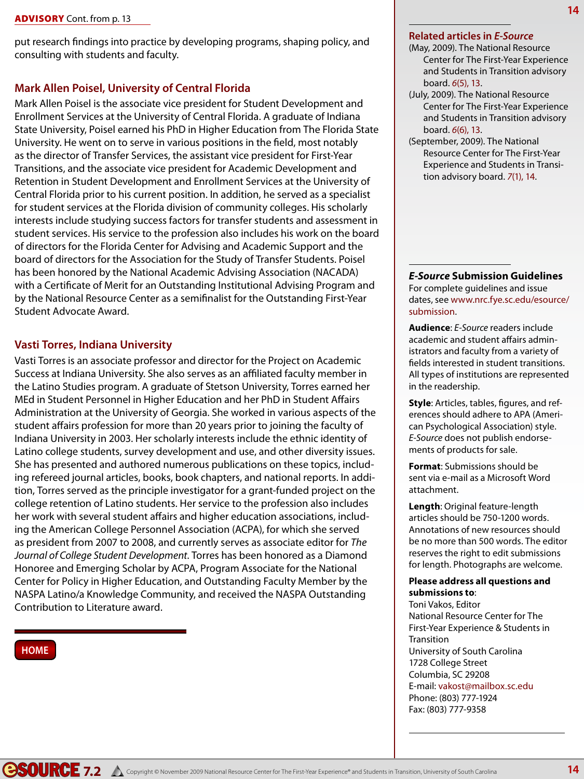put research findings into practice by developing programs, shaping policy, and consulting with students and faculty.

### **Mark Allen Poisel, University of Central Florida**

Mark Allen Poisel is the associate vice president for Student Development and Enrollment Services at the University of Central Florida. A graduate of Indiana State University, Poisel earned his PhD in Higher Education from The Florida State University. He went on to serve in various positions in the field, most notably as the director of Transfer Services, the assistant vice president for First-Year Transitions, and the associate vice president for Academic Development and Retention in Student Development and Enrollment Services at the University of Central Florida prior to his current position. In addition, he served as a specialist for student services at the Florida division of community colleges. His scholarly interests include studying success factors for transfer students and assessment in student services. His service to the profession also includes his work on the board of directors for the Florida Center for Advising and Academic Support and the board of directors for the Association for the Study of Transfer Students. Poisel has been honored by the National Academic Advising Association (NACADA) with a Certificate of Merit for an Outstanding Institutional Advising Program and by the National Resource Center as a semifinalist for the Outstanding First-Year Student Advocate Award.

### **Vasti Torres, Indiana University**

Vasti Torres is an associate professor and director for the Project on Academic Success at Indiana University. She also serves as an affiliated faculty member in the Latino Studies program. A graduate of Stetson University, Torres earned her MEd in Student Personnel in Higher Education and her PhD in Student Affairs Administration at the University of Georgia. She worked in various aspects of the student affairs profession for more than 20 years prior to joining the faculty of Indiana University in 2003. Her scholarly interests include the ethnic identity of Latino college students, survey development and use, and other diversity issues. She has presented and authored numerous publications on these topics, including refereed journal articles, books, book chapters, and national reports. In addition, Torres served as the principle investigator for a grant-funded project on the college retention of Latino students. Her service to the profession also includes her work with several student affairs and higher education associations, including the American College Personnel Association (ACPA), for which she served as president from 2007 to 2008, and currently serves as associate editor for *The Journal of College Student Development*. Torres has been honored as a Diamond Honoree and Emerging Scholar by ACPA, Program Associate for the National Center for Policy in Higher Education, and Outstanding Faculty Member by the NASPA Latino/a Knowledge Community, and received the NASPA Outstanding Contribution to Literature award.

### **HOME**

### **Related articles in** *E-Source*

- (May, 2009). The National Resource Center for The First-Year Experience and Students in Transition advisory board. *6*(5), 13.
- (July, 2009). The National Resource Center for The First-Year Experience and Students in Transition advisory board. *6*(6), 13.
- (September, 2009). The National Resource Center for The First-Year Experience and Students in Transition advisory board. *7*(1), 14.

*E-Source* **Submission Guidelines** For complete guidelines and issue dates, see www.nrc.fye.sc.edu/esource/ submission.

**Audience**: *E-Source* readers include academic and student affairs administrators and faculty from a variety of fields interested in student transitions. All types of institutions are represented in the readership.

**Style**: Articles, tables, figures, and references should adhere to APA (American Psychological Association) style. *E-Source* does not publish endorsements of products for sale.

**Format**: Submissions should be sent via e-mail as a Microsoft Word attachment.

**Length**: Original feature-length articles should be 750-1200 words. Annotations of new resources should be no more than 500 words. The editor reserves the right to edit submissions for length. Photographs are welcome.

#### **Please address all questions and submissions to**:

Toni Vakos, Editor National Resource Center for The First-Year Experience & Students in **Transition** University of South Carolina 1728 College Street Columbia, SC 29208 E-mail: vakost@mailbox.sc.edu Phone: (803) 777-1924 Fax: (803) 777-9358